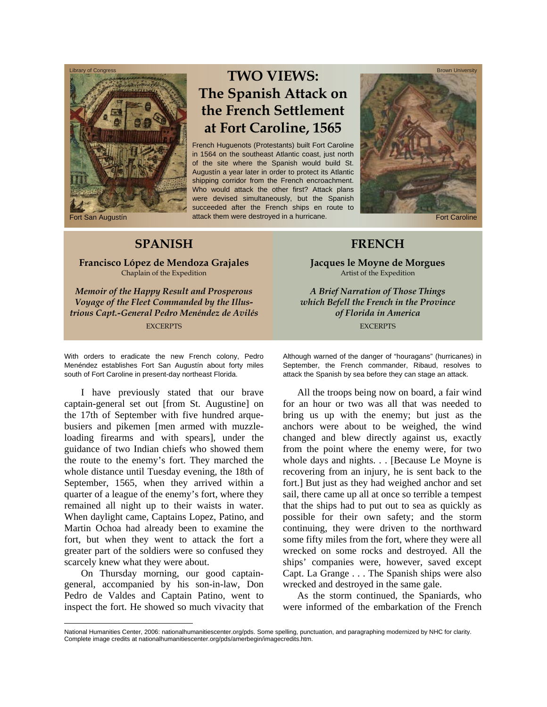

## **TWO VIEWS: The Spanish Attack on the French Settlement at Fort Caroline, 1565**

French Huguenots (Protestants) built Fort Caroline in 1564 on the southeast Atlantic coast, just north of the site where the Spanish would build St. Augustín a year later in order to protect its Atlantic shipping corridor from the French encroachment. Who would attack the other first? Attack plans were devised simultaneously, but the Spanish succeeded after the French ships en route to attack them were destroyed in a hurricane.



Fort Caroline

## **SPANISH**

**Francisco López de Mendoza Grajales**  Chaplain of the Expedition

*Memoir of the Happy Result and Prosperous Voyage of the Fleet Commanded by the Illustrious Capt.-General Pedro Menéndez de Avilés* 

**EXCERPTS** 

With orders to eradicate the new French colony, Pedro Menéndez establishes Fort San Augustín about forty miles south of Fort Caroline in present-day northeast Florida.

 I have previously stated that our brave captain-general set out [from St. Augustine] on the 17th of September with five hundred arquebusiers and pikemen [men armed with muzzleloading firearms and with spears], under the guidance of two Indian chiefs who showed them the route to the enemy's fort. They marched the whole distance until Tuesday evening, the 18th of September, 1565, when they arrived within a quarter of a league of the enemy's fort, where they remained all night up to their waists in water. When daylight came, Captains Lopez, Patino, and Martin Ochoa had already been to examine the fort, but when they went to attack the fort a greater part of the soldiers were so confused they scarcely knew what they were about.

 On Thursday morning, our good captaingeneral, accompanied by his son-in-law, Don Pedro de Valdes and Captain Patino, went to inspect the fort. He showed so much vivacity that

## **FRENCH**

**Jacques le Moyne de Morgues**  Artist of the Expedition

*A Brief Narration of Those Things which Befell the French in the Province of Florida in America* EXCERPTS

Although warned of the danger of "houragans" (hurricanes) in September, the French commander, Ribaud, resolves to attack the Spanish by sea before they can stage an attack.

 All the troops being now on board, a fair wind for an hour or two was all that was needed to bring us up with the enemy; but just as the anchors were about to be weighed, the wind changed and blew directly against us, exactly from the point where the enemy were, for two whole days and nights. . . [Because Le Moyne is recovering from an injury, he is sent back to the fort.] But just as they had weighed anchor and set sail, there came up all at once so terrible a tempest that the ships had to put out to sea as quickly as possible for their own safety; and the storm continuing, they were driven to the northward some fifty miles from the fort, where they were all wrecked on some rocks and destroyed. All the ships' companies were, however, saved except Capt. La Grange . . . The Spanish ships were also wrecked and destroyed in the same gale.

 As the storm continued, the Spaniards, who were informed of the embarkation of the French

<span id="page-0-0"></span> $\overline{a}$ National Humanities Center, 2006: nationalhumanitiescenter.org/pds. Some spelling, punctuation, and paragraphing modernized by NHC for clarity. Complete image credits at nationalhumanitiescenter.org/pds/amerbegin/imagecredits.htm.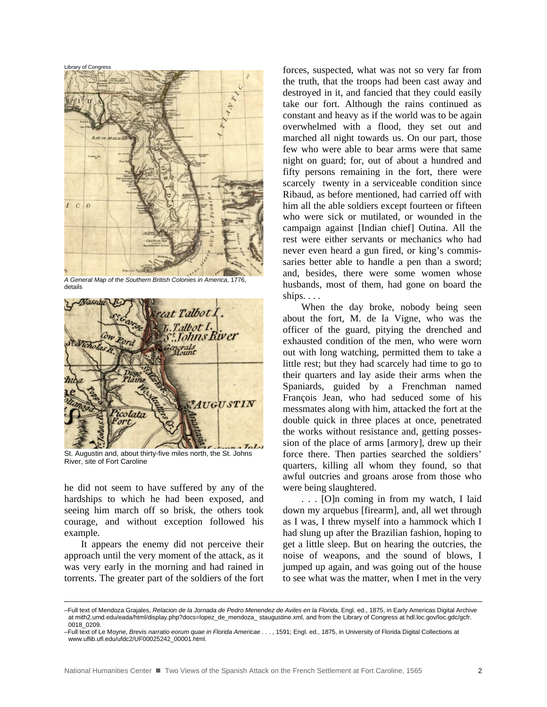

*A General Map of the Southern British Colonies in America*, 1776, details



St. Augustin and, about thirty-five miles north, the St. Johns River, site of Fort Caroline

he did not seem to have suffered by any of the hardships to which he had been exposed, and seeing him march off so brisk, the others took courage, and without exception followed his example.

 It appears the enemy did not perceive their approach until the very moment of the attack, as it was very early in the morning and had rained in torrents. The greater part of the soldiers of the fort forces, suspected, what was not so very far from the truth, that the troops had been cast away and destroyed in it, and fancied that they could easily take our fort. Although the rains continued as constant and heavy as if the world was to be again overwhelmed with a flood, they set out and marched all night towards us. On our part, those few who were able to bear arms were that same night on guard; for, out of about a hundred and fifty persons remaining in the fort, there were scarcely twenty in a serviceable condition since Ribaud, as before mentioned, had carried off with him all the able soldiers except fourteen or fifteen who were sick or mutilated, or wounded in the campaign against [Indian chief] Outina. All the rest were either servants or mechanics who had never even heard a gun fired, or king's commissaries better able to handle a pen than a sword; and, besides, there were some women whose husbands, most of them, had gone on board the ships.  $\ldots$ 

 When the day broke, nobody being seen about the fort, M. de la Vigne, who was the officer of the guard, pitying the drenched and exhausted condition of the men, who were worn out with long watching, permitted them to take a little rest; but they had scarcely had time to go to their quarters and lay aside their arms when the Spaniards, guided by a Frenchman named François Jean, who had seduced some of his messmates along with him, attacked the fort at the double quick in three places at once, penetrated the works without resistance and, getting possession of the place of arms [armory], drew up their force there. Then parties searched the soldiers' quarters, killing all whom they found, so that awful outcries and groans arose from those who were being slaughtered.

 . . . [O]n coming in from my watch, I laid down my arquebus [firearm], and, all wet through as I was, I threw myself into a hammock which I had slung up after the Brazilian fashion, hoping to get a little sleep. But on hearing the outcries, the noise of weapons, and the sound of blows, I jumped up again, and was going out of the house to see what was the matter, when I met in the very

<sup>1</sup> –Full text of Mendoza Grajales, *Relacion de la Jornada de Pedro Menendez de Aviles en la Florida*, Engl. ed., 1875, in Early Americas Digital Archive at mith2.umd.edu/eada/html/display.php?docs=lopez\_de\_mendoza\_ staugustine.xml, and from the Library of Congress at hdl.loc.gov/loc.gdc/gcfr. 0018\_0209.

<sup>–</sup>Full text of Le Moyne, *Brevis narratio eorum quae in Florida Americae . .* . , 1591; Engl. ed., 1875, in University of Florida Digital Collections at www.uflib.ufl.edu/ufdc2/UF00025242\_00001.html.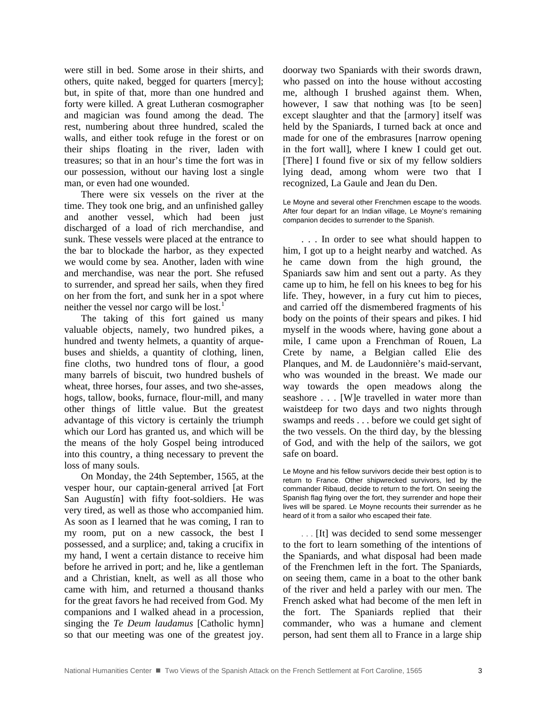were still in bed. Some arose in their shirts, and others, quite naked, begged for quarters [mercy]; but, in spite of that, more than one hundred and forty were killed. A great Lutheran cosmographer and magician was found among the dead. The rest, numbering about three hundred, scaled the walls, and either took refuge in the forest or on their ships floating in the river, laden with treasures; so that in an hour's time the fort was in our possession, without our having lost a single man, or even had one wounded.

 There were six vessels on the river at the time. They took one brig, and an unfinished galley and another vessel, which had been just discharged of a load of rich merchandise, and sunk. These vessels were placed at the entrance to the bar to blockade the harbor, as they expected we would come by sea. Another, laden with wine and merchandise, was near the port. She refused to surrender, and spread her sails, when they fired on her from the fort, and sunk her in a spot where neither the vessel nor cargo will be lost.<sup>[1](#page-2-0)</sup>

 The taking of this fort gained us many valuable objects, namely, two hundred pikes, a hundred and twenty helmets, a quantity of arquebuses and shields, a quantity of clothing, linen, fine cloths, two hundred tons of flour, a good many barrels of biscuit, two hundred bushels of wheat, three horses, four asses, and two she-asses, hogs, tallow, books, furnace, flour-mill, and many other things of little value. But the greatest advantage of this victory is certainly the triumph which our Lord has granted us, and which will be the means of the holy Gospel being introduced into this country, a thing necessary to prevent the loss of many souls.

<span id="page-2-0"></span> On Monday, the 24th September, 1565, at the vesper hour, our captain-general arrived [at Fort San Augustín] with fifty foot-soldiers. He was very tired, as well as those who accompanied him. As soon as I learned that he was coming, I ran to my room, put on a new cassock, the best I possessed, and a surplice; and, taking a crucifix in my hand, I went a certain distance to receive him before he arrived in port; and he, like a gentleman and a Christian, knelt, as well as all those who came with him, and returned a thousand thanks for the great favors he had received from God. My companions and I walked ahead in a procession, singing the *Te Deum laudamus* [Catholic hymn] so that our meeting was one of the greatest joy.

doorway two Spaniards with their swords drawn, who passed on into the house without accosting me, although I brushed against them. When, however, I saw that nothing was [to be seen] except slaughter and that the [armory] itself was held by the Spaniards, I turned back at once and made for one of the embrasures [narrow opening in the fort wall], where I knew I could get out. [There] I found five or six of my fellow soldiers lying dead, among whom were two that I recognized, La Gaule and Jean du Den.

Le Moyne and several other Frenchmen escape to the woods. After four depart for an Indian village, Le Moyne's remaining companion decides to surrender to the Spanish.

 . . . In order to see what should happen to him, I got up to a height nearby and watched. As he came down from the high ground, the Spaniards saw him and sent out a party. As they came up to him, he fell on his knees to beg for his life. They, however, in a fury cut him to pieces, and carried off the dismembered fragments of his body on the points of their spears and pikes. I hid myself in the woods where, having gone about a mile, I came upon a Frenchman of Rouen, La Crete by name, a Belgian called Elie des Planques, and M. de Laudonnière's maid-servant, who was wounded in the breast. We made our way towards the open meadows along the seashore . . . [W]e travelled in water more than waistdeep for two days and two nights through swamps and reeds . . . before we could get sight of the two vessels. On the third day, by the blessing of God, and with the help of the sailors, we got safe on board.

Le Moyne and his fellow survivors decide their best option is to return to France. Other shipwrecked survivors, led by the commander Ribaud, decide to return to the fort. On seeing the Spanish flag flying over the fort, they surrender and hope their lives will be spared. Le Moyne recounts their surrender as he heard of it from a sailor who escaped their fate.

 . . . [It] was decided to send some messenger to the fort to learn something of the intentions of the Spaniards, and what disposal had been made of the Frenchmen left in the fort. The Spaniards, on seeing them, came in a boat to the other bank of the river and held a parley with our men. The French asked what had become of the men left in the fort. The Spaniards replied that their commander, who was a humane and clement person, had sent them all to France in a large ship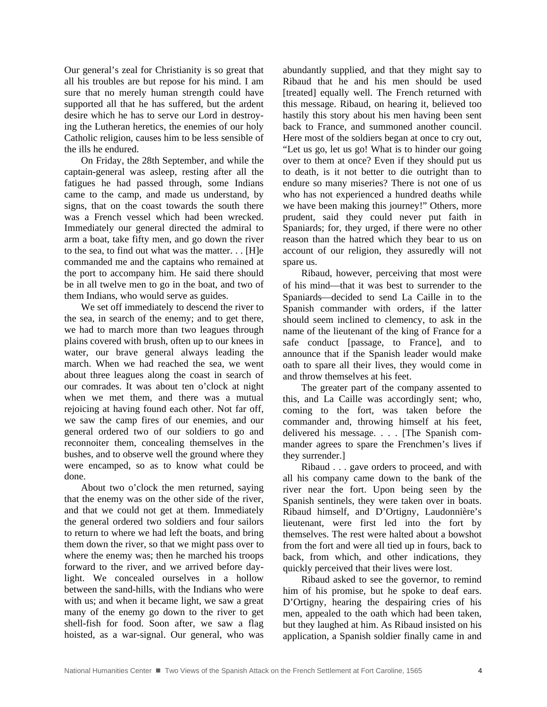Our general's zeal for Christianity is so great that all his troubles are but repose for his mind. I am sure that no merely human strength could have supported all that he has suffered, but the ardent desire which he has to serve our Lord in destroying the Lutheran heretics, the enemies of our holy Catholic religion, causes him to be less sensible of the ills he endured.

 On Friday, the 28th September, and while the captain-general was asleep, resting after all the fatigues he had passed through, some Indians came to the camp, and made us understand, by signs, that on the coast towards the south there was a French vessel which had been wrecked. Immediately our general directed the admiral to arm a boat, take fifty men, and go down the river to the sea, to find out what was the matter. . . [H]e commanded me and the captains who remained at the port to accompany him. He said there should be in all twelve men to go in the boat, and two of them Indians, who would serve as guides.

 We set off immediately to descend the river to the sea, in search of the enemy; and to get there, we had to march more than two leagues through plains covered with brush, often up to our knees in water, our brave general always leading the march. When we had reached the sea, we went about three leagues along the coast in search of our comrades. It was about ten o'clock at night when we met them, and there was a mutual rejoicing at having found each other. Not far off, we saw the camp fires of our enemies, and our general ordered two of our soldiers to go and reconnoiter them, concealing themselves in the bushes, and to observe well the ground where they were encamped, so as to know what could be done.

 About two o'clock the men returned, saying that the enemy was on the other side of the river, and that we could not get at them. Immediately the general ordered two soldiers and four sailors to return to where we had left the boats, and bring them down the river, so that we might pass over to where the enemy was; then he marched his troops forward to the river, and we arrived before daylight. We concealed ourselves in a hollow between the sand-hills, with the Indians who were with us; and when it became light, we saw a great many of the enemy go down to the river to get shell-fish for food. Soon after, we saw a flag hoisted, as a war-signal. Our general, who was

abundantly supplied, and that they might say to Ribaud that he and his men should be used [treated] equally well. The French returned with this message. Ribaud, on hearing it, believed too hastily this story about his men having been sent back to France, and summoned another council. Here most of the soldiers began at once to cry out, "Let us go, let us go! What is to hinder our going over to them at once? Even if they should put us to death, is it not better to die outright than to endure so many miseries? There is not one of us who has not experienced a hundred deaths while we have been making this journey!" Others, more prudent, said they could never put faith in Spaniards; for, they urged, if there were no other reason than the hatred which they bear to us on account of our religion, they assuredly will not spare us.

 Ribaud, however, perceiving that most were of his mind—that it was best to surrender to the Spaniards—decided to send La Caille in to the Spanish commander with orders, if the latter should seem inclined to clemency, to ask in the name of the lieutenant of the king of France for a safe conduct [passage, to France], and to announce that if the Spanish leader would make oath to spare all their lives, they would come in and throw themselves at his feet.

 The greater part of the company assented to this, and La Caille was accordingly sent; who, coming to the fort, was taken before the commander and, throwing himself at his feet, delivered his message. . . . [The Spanish commander agrees to spare the Frenchmen's lives if they surrender.]

 Ribaud . . . gave orders to proceed, and with all his company came down to the bank of the river near the fort. Upon being seen by the Spanish sentinels, they were taken over in boats. Ribaud himself, and D'Ortigny, Laudonnière's lieutenant, were first led into the fort by themselves. The rest were halted about a bowshot from the fort and were all tied up in fours, back to back, from which, and other indications, they quickly perceived that their lives were lost.

 Ribaud asked to see the governor, to remind him of his promise, but he spoke to deaf ears. D'Ortigny, hearing the despairing cries of his men, appealed to the oath which had been taken, but they laughed at him. As Ribaud insisted on his application, a Spanish soldier finally came in and